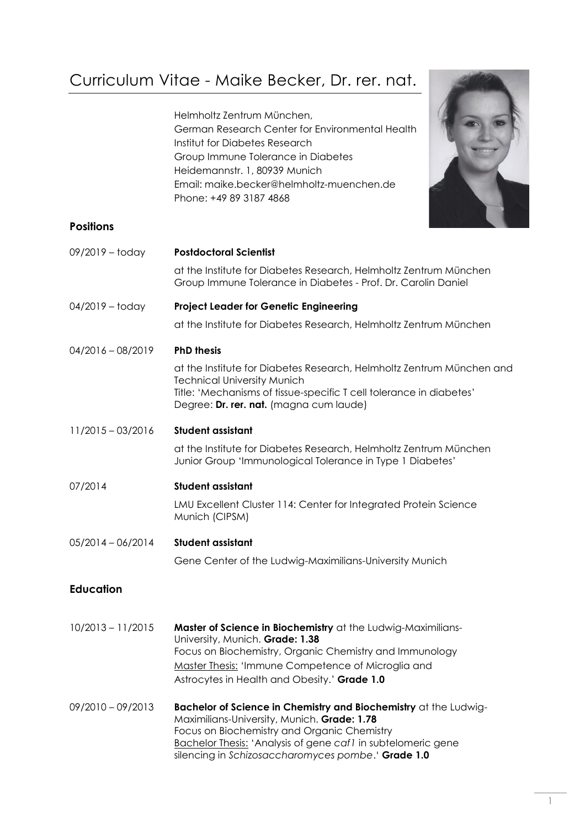# Curriculum Vitae - Maike Becker, Dr. rer. nat.

Helmholtz Zentrum München, German Research Center for Environmental Health Institut for Diabetes Research Group Immune Tolerance in Diabetes Heidemannstr. 1, 80939 Munich Email: maike.becker@helmholtz-muenchen.de Phone: +49 89 3187 4868



# **Positions**

| 09/2019 - today     | <b>Postdoctoral Scientist</b>                                                                                                                                                                                                                                                                                               |
|---------------------|-----------------------------------------------------------------------------------------------------------------------------------------------------------------------------------------------------------------------------------------------------------------------------------------------------------------------------|
|                     | at the Institute for Diabetes Research, Helmholtz Zentrum München<br>Group Immune Tolerance in Diabetes - Prof. Dr. Carolin Daniel                                                                                                                                                                                          |
| $04/2019 -$ today   | <b>Project Leader for Genetic Engineering</b>                                                                                                                                                                                                                                                                               |
|                     | at the Institute for Diabetes Research, Helmholtz Zentrum München                                                                                                                                                                                                                                                           |
| $04/2016 - 08/2019$ | <b>PhD thesis</b>                                                                                                                                                                                                                                                                                                           |
|                     | at the Institute for Diabetes Research, Helmholtz Zentrum München and<br><b>Technical University Munich</b><br>Title: 'Mechanisms of tissue-specific T cell tolerance in diabetes'<br>Degree: Dr. rer. nat. (magna cum laude)                                                                                               |
| $11/2015 - 03/2016$ | <b>Student assistant</b>                                                                                                                                                                                                                                                                                                    |
|                     | at the Institute for Diabetes Research, Helmholtz Zentrum München<br>Junior Group 'Immunological Tolerance in Type 1 Diabetes'                                                                                                                                                                                              |
| 07/2014             | <b>Student assistant</b>                                                                                                                                                                                                                                                                                                    |
|                     | LMU Excellent Cluster 114: Center for Integrated Protein Science<br>Munich (CIPSM)                                                                                                                                                                                                                                          |
| $05/2014 - 06/2014$ | <b>Student assistant</b>                                                                                                                                                                                                                                                                                                    |
|                     | Gene Center of the Ludwig-Maximilians-University Munich                                                                                                                                                                                                                                                                     |
| <b>Education</b>    |                                                                                                                                                                                                                                                                                                                             |
| $10/0012$ $11/0015$ | $\mathbf{M}$ and $\mathbf{A}$ $\mathbf{A}$ $\mathbf{A}$ $\mathbf{A}$ $\mathbf{A}$ $\mathbf{A}$ $\mathbf{A}$ $\mathbf{A}$ $\mathbf{A}$ $\mathbf{A}$ $\mathbf{A}$ $\mathbf{A}$ $\mathbf{A}$ $\mathbf{A}$ $\mathbf{A}$ $\mathbf{A}$ $\mathbf{A}$ $\mathbf{A}$ $\mathbf{A}$ $\mathbf{A}$ $\mathbf{A}$ $\mathbf{A}$ $\mathbf{A}$ |

- 10/2013 11/2015 **Master of Science in Biochemistry** at the Ludwig-Maximilians-University, Munich. **Grade: 1.38** Focus on Biochemistry, Organic Chemistry and Immunology Master Thesis: 'Immune Competence of Microglia and Astrocytes in Health and Obesity.' **Grade 1.0**
- 09/2010 09/2013 **Bachelor of Science in Chemistry and Biochemistry** at the Ludwig-Maximilians-University, Munich. **Grade: 1.78** Focus on Biochemistry and Organic Chemistry Bachelor Thesis: 'Analysis of gene *caf1* in subtelomeric gene silencing in *Schizosaccharomyces pombe*.' **Grade 1.0**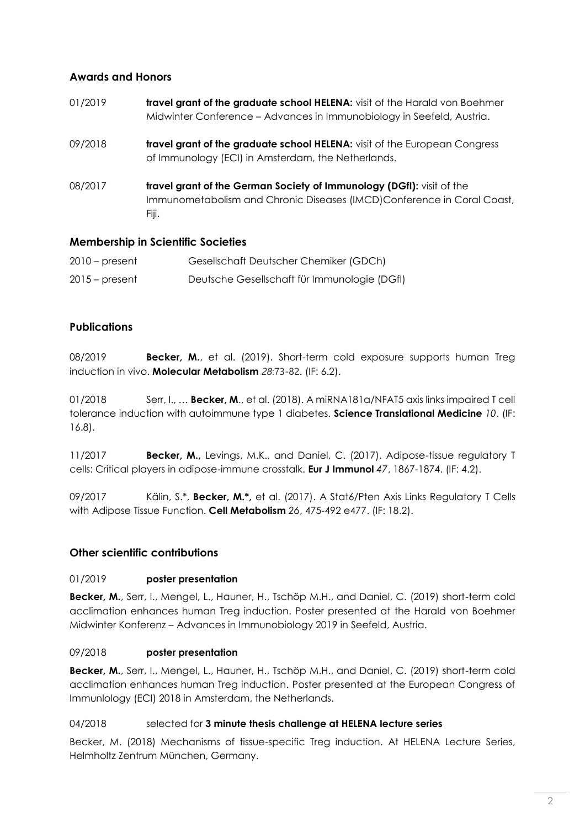# **Awards and Honors**

| 01/2019 | travel grant of the graduate school HELENA: visit of the Harald von Boehmer<br>Midwinter Conference – Advances in Immunobiology in Seefeld, Austria.     |
|---------|----------------------------------------------------------------------------------------------------------------------------------------------------------|
| 09/2018 | travel grant of the graduate school HELENA: visit of the European Congress<br>of Immunology (ECI) in Amsterdam, the Netherlands.                         |
| 08/2017 | travel grant of the German Society of Immunology (DGfI): visit of the<br>Immunometabolism and Chronic Diseases (IMCD)Conference in Coral Coast,<br>Fiji. |

# **Membership in Scientific Societies**

| $2010$ – present | Gesellschaft Deutscher Chemiker (GDCh)       |
|------------------|----------------------------------------------|
| $2015$ – present | Deutsche Gesellschaft für Immunologie (DGfI) |

# **Publications**

08/2019 **Becker, M.**, et al. (2019). Short-term cold exposure supports human Treg induction in vivo. **Molecular Metabolism** *28*:73-82. (IF: 6.2).

01/2018 Serr, I., … **Becker, M**., et al. (2018). A miRNA181a/NFAT5 axis links impaired T cell tolerance induction with autoimmune type 1 diabetes. **Science Translational Medicine** *10*. (IF: 16.8).

11/2017 **Becker, M.,** Levings, M.K., and Daniel, C. (2017). Adipose-tissue regulatory T cells: Critical players in adipose-immune crosstalk. **Eur J Immunol** *47*, 1867-1874. (IF: 4.2).

09/2017 Kälin, S.\*, **Becker, M.\*,** et al. (2017). A Stat6/Pten Axis Links Regulatory T Cells with Adipose Tissue Function. **Cell Metabolism** *26*, 475-492 e477. (IF: 18.2).

# **Other scientific contributions**

#### 01/2019 **poster presentation**

**Becker, M.**, Serr, I., Mengel, L., Hauner, H., Tschöp M.H., and Daniel, C. (2019) short-term cold acclimation enhances human Treg induction. Poster presented at the Harald von Boehmer Midwinter Konferenz – Advances in Immunobiology 2019 in Seefeld, Austria.

#### 09/2018 **poster presentation**

**Becker, M.**, Serr, I., Mengel, L., Hauner, H., Tschöp M.H., and Daniel, C. (2019) short-term cold acclimation enhances human Treg induction. Poster presented at the European Congress of Immunlology (ECI) 2018 in Amsterdam, the Netherlands.

#### 04/2018 selected for **3 minute thesis challenge at HELENA lecture series**

Becker, M. (2018) Mechanisms of tissue-specific Treg induction. At HELENA Lecture Series, Helmholtz Zentrum München, Germany.